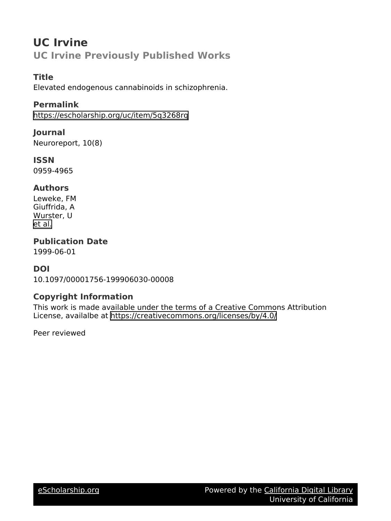# **UC Irvine UC Irvine Previously Published Works**

### **Title**

Elevated endogenous cannabinoids in schizophrenia.

### **Permalink**

<https://escholarship.org/uc/item/5q3268rq>

#### **Journal**

Neuroreport, 10(8)

**ISSN** 0959-4965

### **Authors**

Leweke, FM Giuffrida, A Wurster, U [et al.](https://escholarship.org/uc/item/5q3268rq#author)

## **Publication Date**

1999-06-01

### **DOI**

10.1097/00001756-199906030-00008

### **Copyright Information**

This work is made available under the terms of a Creative Commons Attribution License, availalbe at <https://creativecommons.org/licenses/by/4.0/>

Peer reviewed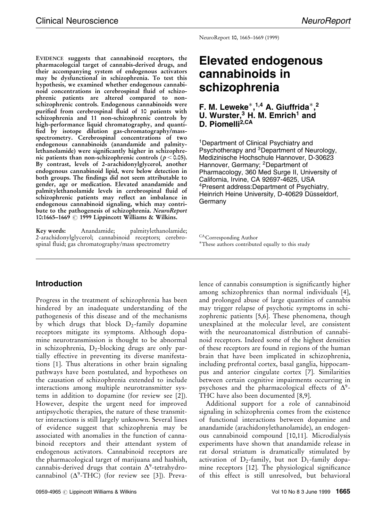NeuroReport 10, 1665-1669 (1999)

EVIDENCE suggests that cannabinoid receptors, the pharmacologcial target of cannabis-derived drugs, and their accompanying system of endogenous activators may be dysfunctional in schizophrenia. To test this hypothesis, we examined whether endogenous cannabinoid concentrations in cerebrospinal fluid of schizophrenic patients are altered compared to nonschizophrenic controls. Endogenous cannabinoids were purified from cerebrospinal fluid of 10 patients with schizophrenia and 11 non-schizophrenic controls by high-performance liquid chromatography, and quanti- ®ed by isotope dilution gas-chromatography/massspectrometry. Cerebrospinal concentrations of two endogenous cannabinoids (anandamide and palmitylethanolamide) were significantly higher in schizophrenic patients than non-schizophrenic controls ( $p < 0.05$ ). By contrast, levels of 2-arachidonylglycerol, another endogenous cannabinoid lipid, were below detection in both groups. The findings did not seem attributable to gender, age or medication. Elevated anandamide and palmitylethanolamide levels in cerebrospinal fluid of schizophrenic patients may reflect an imbalance in endogenous cannabinoid signaling, which may contribute to the pathogenesis of schizophrenia. NeuroReport 10:1665–1669  $\odot$  1999 Lippincott Williams & Wilkins.

Key words: Anandamide; palmitylethanolamide; 2-arachidonylglycerol; cannabinoid receptors; cerebrospinal fluid; gas chromatography/mass spectrometry

### Introduction

Progress in the treatment of schizophrenia has been hindered by an inadequate understanding of the pathogenesis of this disease and of the mechanisms by which drugs that block  $D_2$ -family dopamine receptors mitigate its symptoms. Although dopamine neurotransmission is thought to be abnormal in schizophrenia, D<sub>2</sub>-blocking drugs are only partially effective in preventing its diverse manifestations [\[1\]](#page-5-0). Thus alterations in other brain signaling pathways have been postulated, and hypotheses on the causation of schizophrenia extended to include interactions among multiple neurotransmitter systems in addition to dopamine (for review see [\[2\]](#page-5-0)). However, despite the urgent need for improved antipsychotic therapies, the nature of these transmitter interactions is still largely unknown. Several lines of evidence suggest that schizophrenia may be associated with anomalies in the function of cannabinoid receptors and their attendant system of endogenous activators. Cannabinoid receptors are the pharmacological target of marijuana and hashish, cannabis-derived drugs that contain  $\Delta^9$ -tetrahydrocannabinol ( $\Delta^9$ -THC) (for review see [\[3\]](#page-5-0)). Preva-

## Elevated endogenous cannabinoids in schizophrenia

#### F. M. Leweke $*,^{1,4}$  A. Giuffrida $*,^2$ U. Wurster, $3$  H. M. Emrich<sup>1</sup> and D. Piomelli<sup>2,CA</sup>

<sup>1</sup>Department of Clinical Psychiatry and Psychotherapy and <sup>3</sup>Department of Neurology, Medizinische Hochschule Hannover, D-30623 Hannover, Germany; <sup>2</sup>Department of Pharmacology, 360 Med Surge II, University of California, Irvine, CA 92697-4625, USA 4Present address:Department of Psychiatry, Heinrich Heine University, D-40629 Düsseldorf, **Germany** 

CACorresponding Author These authors contributed equally to this study

lence of cannabis consumption is significantly higher among schizophrenics than normal individuals [\[4\]](#page-5-0), and prolonged abuse of large quantities of cannabis may trigger relapse of psychotic symptoms in schizophrenic patients [\[5,6\].](#page-5-0) These phenomena, though unexplained at the molecular level, are consistent with the neuroanatomical distribution of cannabinoid receptors. Indeed some of the highest densities of these receptors are found in regions of the human brain that have been implicated in schizophrenia, including prefrontal cortex, basal ganglia, hippocampus and anterior cingulate cortex [\[7\]](#page-5-0). Similarities between certain cognitive impairments occurring in psychoses and the pharmacological effects of  $\Delta^9$ -THC have also been documented [\[8,9\]](#page-5-0).

Additional support for a role of cannabinoid signaling in schizophrenia comes from the existence of functional interactions between dopamine and anandamide (arachidonylethanolamide), an endogenous cannabinoid compound [\[10,11\]](#page-5-0). Microdialysis experiments have shown that anandamide release in rat dorsal striatum is dramatically stimulated by activation of  $D_2$ -family, but not  $D_1$ -family dopa-mine receptors [\[12\].](#page-5-0) The physiological significance of this effect is still unresolved, but behavioral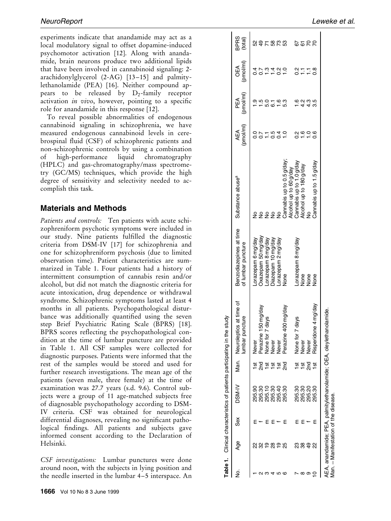<span id="page-2-0"></span>experiments indicate that anandamide may act as a local modulatory signal to offset dopamine-induced psychomotor activation [\[12\].](#page-5-0) Along with anandamide, brain neurons produce two additional lipids that have been involved in cannabinoid signaling: 2 arachidonylglycerol  $(2-AG)$  [13–15] and palmitylethanolamide (PEA) [\[16\]](#page-5-0). Neither compound appears to be released by  $D_2$ -family receptor activation in vivo, however, pointing to a specific role for anandamide in this response [\[12\]](#page-5-0).

To reveal possible abnormalities of endogenous cannabinoid signaling in schizophrenia, we have measured endogenous cannabinoid levels in cerebrospinal fluid (CSF) of schizophrenic patients and non-schizophrenic controls by using a combination of high-performance liquid chromatography (HPLC) and gas-chromatography/mass spectrometry (GC/MS) techniques, which provide the high degree of sensitivity and selectivity needed to accomplish this task.

#### Materials and Methods

Patients and controls: Ten patients with acute schizophreniform psychotic symptoms were included in our study. Nine patients fulfilled the diagnostic criteria from DSM-IV [\[17\]](#page-5-0) for schizophrenia and one for schizophreniform psychosis (due to limited observation time). Patient characteristics are summarized in Table 1. Four patients had a history of intermittent consumption of cannabis resin and/or alcohol, but did not match the diagnostic criteria for acute intoxication, drug dependence or withdrawal syndrome. Schizophrenic symptoms lasted at least 4 months in all patients. Psychopathological disturbance was additionally quantified using the seven step Brief Psychiatric Rating Scale (BPRS) [\[18\]](#page-5-0). BPRS scores reflecting the psychopathological condition at the time of lumbar puncture are provided in Table 1. All CSF samples were collected for diagnostic purposes. Patients were informed that the rest of the samples would be stored and used for further research investigations. The mean age of the patients (seven male, three female) at the time of examination was 27.7 years (s.d. 9.6). Control subjects were a group of 11 age-matched subjects free of diagnosable psychopathology according to DSM-IV criteria. CSF was obtained for neurological differential diagnoses, revealing no significant pathological findings. All patients and subjects gave informed consent according to the Declaration of Helsinki.

CSF investigations: Lumbar punctures were done around noon, with the subjects in lying position and the needle inserted in the lumbar 4–5 interspace. An

Man.

Manifestation of the disease.

|          |                |     | Table 1. Clinical characteristics of patients participating in 1 |                 | the study                                                           |                                               |                                                    |                  |                  |                         |                 |
|----------|----------------|-----|------------------------------------------------------------------|-----------------|---------------------------------------------------------------------|-----------------------------------------------|----------------------------------------------------|------------------|------------------|-------------------------|-----------------|
| ż        | Age            | Sex | DSM-IV                                                           |                 | Man. Neuroleptics at time of<br>puncture<br>umbar                   | Benzodiazepines at time<br>of lumbar puncture | Substance abuse <sup>a</sup>                       | (pmol/ml)<br>AEA | (pmol/ml)<br>PEA | (pmol/ml)<br>6€<br>O    | BPRS<br>(total) |
|          |                |     |                                                                  |                 | Never                                                               | orazepam 6 mg/day.                            |                                                    |                  |                  | $\frac{4}{3}$           |                 |
|          | న్ల            |     | 295.30<br>295.30                                                 |                 | Perazine 150 mg/day                                                 | Oxazepam 50 mg/day                            | $\frac{1}{2}$                                      | <u>.</u><br>ი    | $\overline{1}$ . | $\overline{0.7}$        | 237823          |
| ო        | $\frac{9}{5}$  |     | 295.10                                                           | 1st             | None for 7 days                                                     | Lorazepam 8 mg/day                            | ş                                                  |                  | 5.0              | $\tilde{\mathbf{c}}$    |                 |
|          | $\frac{8}{2}$  |     | 295.30                                                           | $\frac{1}{2}$   | Never                                                               | Diazepam 10 mg/day                            | 22                                                 | 0.5              | <u>ේ</u>         |                         |                 |
|          | $\frac{6}{1}$  |     | 295.40                                                           | $\frac{1}{2}$   | Never                                                               | Lorazepam 2 mg/day                            |                                                    | $\vec{c}$        | 1.30             | $\frac{20}{27}$         |                 |
| $\circ$  | 25             |     | 295.30                                                           | 2 <sub>nd</sub> | e 400 mg/day<br>Perazin                                             | None                                          | Cannabis up to 0.5 g/day;                          | $\overline{a}$   |                  |                         |                 |
|          | ಔ              |     | 295.30                                                           | 18t             | None for 7 days                                                     | Lorazepam 8 mg/day                            | Cannabis up to 1.0 g/day<br>Alcohol up to 60 g/day | $\frac{2}{3}$    | $\frac{6}{1}$    |                         |                 |
| $\infty$ | 38             |     | 295.30                                                           | $\frac{5}{10}$  | Never                                                               | None                                          | Alcohol up to 180 g/day                            | $\frac{6}{1}$    | 4.2              | $\frac{2}{5}$           | 8858            |
| თ        | $\overline{4}$ |     | 295.20                                                           | $\frac{5}{1}$   | Never                                                               | None<br>None                                  |                                                    | $\supseteq$      | 4.3              | $\overline{\mathbb{Z}}$ |                 |
| $\circ$  | ୍ଷ             |     | 295.30                                                           |                 | Risperidone 4 mg/day                                                |                                               | Cannabis up to 1.5 g/day                           | 0.6              | 3.5              | $\frac{8}{2}$           |                 |
|          |                |     |                                                                  |                 | AEA, anandamide; PEA, palmitylethanolamide; OEA, oleylethanolamide. |                                               |                                                    |                  |                  |                         |                 |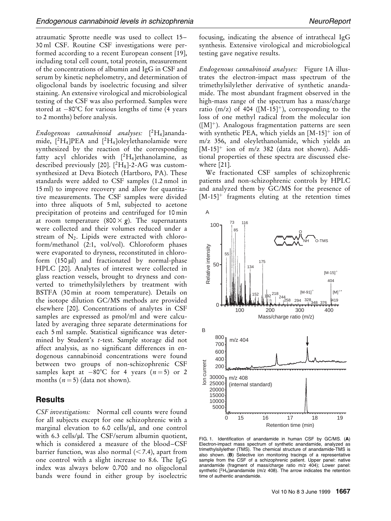<span id="page-3-0"></span>atraumatic Sprotte needle was used to collect 15-30 ml CSF. Routine CSF investigations were performed according to a recent European consent [\[19\]](#page-5-0), including total cell count, total protein, measurement of the concentrations of albumin and IgG in CSF and serum by kinetic nephelometry, and determination of oligoclonal bands by isoelectric focusing and silver staining. An extensive virological and microbiological testing of the CSF was also performed. Samples were stored at  $-80^{\circ}$ C for various lengths of time (4 years to 2 months) before analysis.

Endogenous cannabinoid analyses: [ 2H4]anandamide,  $[^{2}H_{4}]PEA$  and  $[^{2}H_{4}]$ oleylethanolamide were synthesized by the reaction of the corresponding fatty acyl chlorides with  $[^2H_4]$ ethanolamine, as described previously [\[20\]](#page-5-0).  $[^{2}H_{8}]$ -2-AG was customsynthesized at Deva Biotech (Hartboro, PA). These standards were added to CSF samples (1.2 nmol in 15 ml) to improve recovery and allow for quantitative measurements. The CSF samples were divided into three aliquots of 5 ml, subjected to acetone precipitation of proteins and centrifuged for 10 min at room temperature (800  $\times$  g). The supernatants were collected and their volumes reduced under a stream of  $N_2$ . Lipids were extracted with chloroform/methanol (2:1, vol/vol). Chloroform phases were evaporated to dryness, reconstituted in chloroform  $(150 \,\mu\text{I})$  and fractionated by normal-phase HPLC [\[20\]](#page-5-0). Analytes of interest were collected in glass reaction vessels, brought to dryness and converted to trimethylsilylethers by treatment with BSTFA (30 min at room temperature). Details on the isotope dilution GC/MS methods are provided elsewhere [\[20\]](#page-5-0). Concentrations of analytes in CSF samples are expressed as pmol/ml and were calculated by averaging three separate determinations for each 5 ml sample. Statistical significance was determined by Student's t-test. Sample storage did not affect analysis, as no significant differences in endogenous cannabinoid concentrations were found between two groups of non-schizophrenic CSF samples kept at  $-80^{\circ}$ C for 4 years  $(n = 5)$  or 2 months  $(n = 5)$  (data not shown).

#### **Results**

CSF investigations: Normal cell counts were found for all subjects except for one schizophrenic with a marginal elevation to 6.0 cells/µl, and one control with 6.3 cells/ $\mu$ l. The CSF/serum albumin quotient, which is considered a measure of the blood-CSF barrier function, was also normal  $\left($  < 7.4), apart from one control with a slight increase to 8.6. The IgG index was always below 0.700 and no oligoclonal bands were found in either group by isoelectric focusing, indicating the absence of intrathecal IgG synthesis. Extensive virological and microbiological testing gave negative results.

Endogenous cannabinoid analyses: Figure 1A illustrates the electron-impact mass spectrum of the trimethylsilylether derivative of synthetic anandamide. The most abundant fragment observed in the high-mass range of the spectrum has a mass/charge ratio (m/z) of 404 ( $[M-15]^+$ ), corresponding to the loss of one methyl radical from the molecular ion ([M]). Analogous fragmentation patterns are seen with synthetic PEA, which yields an  $[M-15]$ <sup>+</sup> ion of m/z 356, and oleylethanolamide, which yields an  $[M-15]^+$  ion of m/z 382 (data not shown). Additional properties of these spectra are discussed elsewhere [\[21\]](#page-5-0).

We fractionated CSF samples of schizophrenic patients and non-schizophrenic controls by HPLC and analyzed them by GC/MS for the presence of  $[M-15]$ <sup>+</sup> fragments eluting at the retention times



FIG. 1. Identification of anandamide in human CSF by GC/MS. (A) Electron-impact mass spectrum of synthetic anandamide, analyzed as trimethylsilylether (TMS). The chemical structure of anandamide-TMS is also shown. (B) Selective ion monitoring tracings of a representative sample from the CSF of a schizophrenic patient. Upper panel: native anandamide (fragment of mass/charge ratio m/z 404); Lower panel: synthetic  $[^2H_4]$ anandamide (m/z 408). The arrow indicates the retention time of authentic anandamide.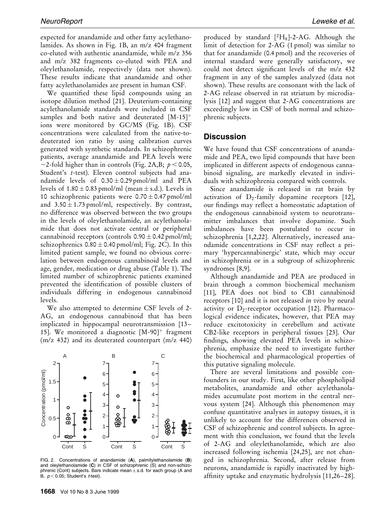expected for anandamide and other fatty acylethanolamides. As shown in Fig. [1B,](#page-3-0) an m/z 404 fragment co-eluted with authentic anandamide, while m/z 356 and m/z 382 fragments co-eluted with PEA and oleylethanolamide, respectively (data not shown). These results indicate that anandamide and other fatty acylethanolamides are present in human CSF.

We quantified these lipid compounds using an isotope dilution method [\[21\]](#page-5-0). Deuterium-containing acylethanolamide standards were included in CSF samples and both native and deuterated [M-15]<sup>+</sup> ions were monitored by GC/MS (Fig. [1B\)](#page-3-0). CSF concentrations were calculated from the native-todeuterated ion ratio by using calibration curves generated with synthetic standards. In schizophrenic patients, average anandamide and PEA levels were  $\sim$ 2-fold higher than in controls (Fig. 2A,B;  $p$  < 0.05, Student's t-test). Eleven control subjects had anandamide levels of  $0.30 \pm 0.29$  pmol/ml and PEA levels of  $1.80 \pm 0.83$  pmol/ml (mean  $\pm$  s.d.). Levels in 10 schizophrenic patients were  $0.70 \pm 0.47$  pmol/ml and  $3.50 \pm 1.73$  pmol/ml, respectively. By contrast, no difference was observed between the two groups in the levels of oleylethanolamide, an acylethanolamide that does not activate central or peripheral cannabinoid receptors (controls  $0.90 \pm 0.42$  pmol/ml; schizophrenics  $0.80 \pm 0.40$  pmol/ml; Fig. 2C). In this limited patient sample, we found no obvious correlation between endogenous cannabinoid levels and age, gender, medication or drug abuse [\(Table 1\).](#page-2-0) The limited number of schizophrenic patients examined prevented the identification of possible clusters of individuals differing in endogenous cannabinoid levels.

We also attempted to determine CSF levels of 2- AG, an endogenous cannabinoid that has been implicated in hippocampal neurotransmission [13– 15]. We monitored a diagnostic  $[M-90]$ <sup>+</sup> fragment (m/z 432) and its deuterated counterpart (m/z 440)



FIG. 2. Concentrations of anandamide (A), palmitylethanolamide (B) and oleylethanolamide (C) in CSF of schizophrenic (S) and non-schizophrenic (Cont) subjects. Bars indicate mean  $\pm$  s.d. for each group (A and  $B, p < 0.05$ ; Student's *t*-test).

produced by standard  $[^{2}H_{8}]$ -2-AG. Although the limit of detection for 2-AG (1 pmol) was similar to that for anandamide (0.4 pmol) and the recoveries of internal standard were generally satisfactory, we could not detect significant levels of the m/z 432 fragment in any of the samples analyzed (data not shown). These results are consonant with the lack of 2-AG release observed in rat striatum by microdialysis [\[12\]](#page-5-0) and suggest that 2-AG concentrations are exceedingly low in CSF of both normal and schizophrenic subjects.

#### **Discussion**

We have found that CSF concentrations of anandamide and PEA, two lipid compounds that have been implicated in different aspects of endogenous cannabinoid signaling, are markedly elevated in individuals with schizophrenia compared with controls.

Since anandamide is released in rat brain by activation of  $D_2$ -family dopamine receptors [\[12\]](#page-5-0), our findings may reflect a homeostatic adaptation of the endogenous cannabinoid system to neurotransmitter imbalances that involve dopamine. Such imbalances have been postulated to occur in schizophrenia [\[1,2,22\]](#page-5-0). Alternatively, increased anandamide concentrations in CSF may reflect a primary `hypercannabinergic' state, which may occur in schizophrenia or in a subgroup of schizophrenic syndromes [\[8,9\]](#page-5-0).

Although anandamide and PEA are produced in brain through a common biochemical mechanism [\[11\]](#page-5-0), PEA does not bind to CB1 cannabinoid receptors [\[10\]](#page-5-0) and it is not released in vivo by neural activity or  $D_2$ -receptor occupation [\[12\]](#page-5-0). Pharmacological evidence indicates, however, that PEA may reduce excitotoxicity in cerebellum and activate CB2-like receptors in peripheral tissues [\[23\].](#page-5-0) Our findings, showing elevated PEA levels in schizophrenia, emphasize the need to investigate further the biochemical and pharmacological properties of this putative signaling molecule.

There are several limitations and possible confounders in our study. First, like other phospholipid metabolites, anandamide and other acylethanolamides accumulate post mortem in the central nervous system [\[24\]](#page-5-0). Although this phenomenon may confuse quantitative analyses in autopsy tissues, it is unlikely to account for the differences observed in CSF of schizophrenic and control subjects. In agreement with this conclusion, we found that the levels of 2-AG and oleylethanolamide, which are also increased following ischemia [\[24,25\],](#page-5-0) are not changed in schizophrenia. Second, after release from neurons, anandamide is rapidly inactivated by highaffinity uptake and enzymatic hydrolysis  $[11,26-28]$ .